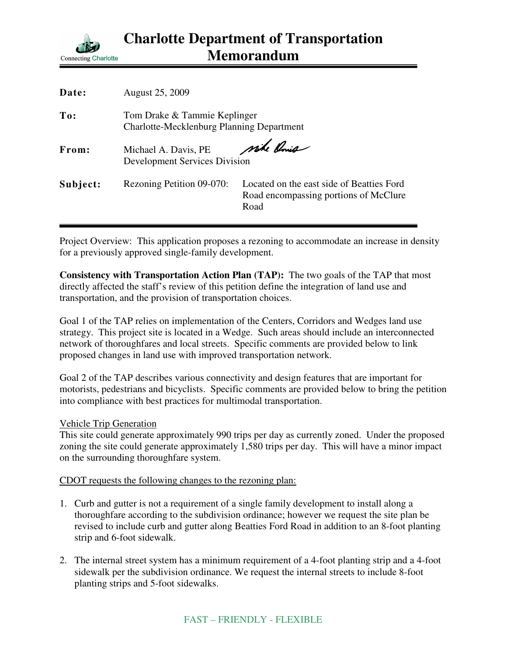

| Date:    | <b>August 25, 2009</b>                                                           |                                                                                            |
|----------|----------------------------------------------------------------------------------|--------------------------------------------------------------------------------------------|
| To:      | Tom Drake & Tammie Keplinger<br><b>Charlotte-Mecklenburg Planning Department</b> |                                                                                            |
| From:    | Michael A. Davis, PE<br><b>Development Services Division</b>                     | wike Onis                                                                                  |
| Subject: | Rezoning Petition 09-070:                                                        | Located on the east side of Beatties Ford<br>Road encompassing portions of McClure<br>Road |

Project Overview: This application proposes a rezoning to accommodate an increase in density for a previously approved single-family development.

**Consistency with Transportation Action Plan (TAP):** The two goals of the TAP that most directly affected the staff's review of this petition define the integration of land use and transportation, and the provision of transportation choices.

Goal 1 of the TAP relies on implementation of the Centers, Corridors and Wedges land use strategy. This project site is located in a Wedge. Such areas should include an interconnected network of thoroughfares and local streets. Specific comments are provided below to link proposed changes in land use with improved transportation network.

Goal 2 of the TAP describes various connectivity and design features that are important for motorists, pedestrians and bicyclists. Specific comments are provided below to bring the petition into compliance with best practices for multimodal transportation.

## Vehicle Trip Generation

This site could generate approximately 990 trips per day as currently zoned. Under the proposed zoning the site could generate approximately 1,580 trips per day. This will have a minor impact on the surrounding thoroughfare system.

## CDOT requests the following changes to the rezoning plan:

- 1. Curb and gutter is not a requirement of a single family development to install along a thoroughfare according to the subdivision ordinance; however we request the site plan be revised to include curb and gutter along Beatties Ford Road in addition to an 8-foot planting strip and 6-foot sidewalk.
- 2. The internal street system has a minimum requirement of a 4-foot planting strip and a 4-foot sidewalk per the subdivision ordinance. We request the internal streets to include 8-foot planting strips and 5-foot sidewalks.